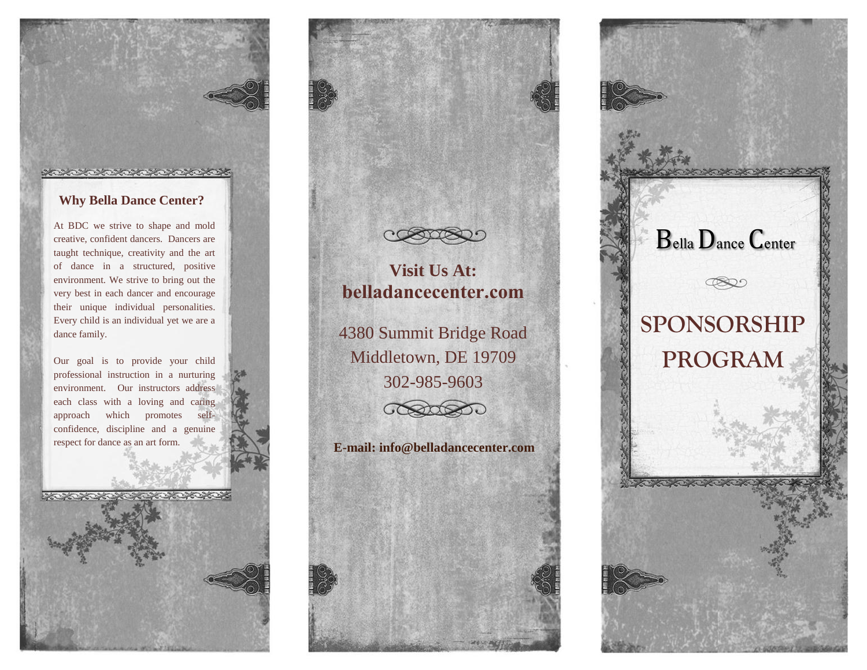## **Why Bella Dance Center?**

At BDC we strive to shape and mold creative, confident dancers. Dancers are taught technique, creativity and the art of dance in a structured, positive environment. We strive to bring out the very best in each dancer and encourage their unique individual personalities. Every child is an individual yet we are a dance family.

Our goal is to provide your child professional instruction in a nurturing environment. Our instructors address each class with a loving and caring approach which promotes selfconfidence, discipline and a genuine respect for dance as an art form.

**MORE CREATERS**